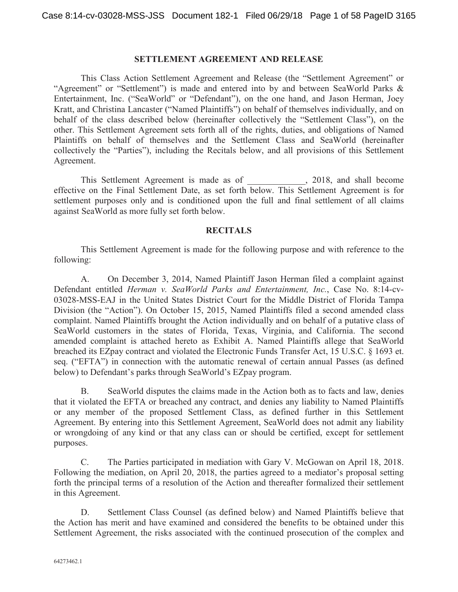#### **SETTLEMENT AGREEMENT AND RELEASE**

This Class Action Settlement Agreement and Release (the "Settlement Agreement" or "Agreement" or "Settlement") is made and entered into by and between SeaWorld Parks & Entertainment, Inc. ("SeaWorld" or "Defendant"), on the one hand, and Jason Herman, Joey Kratt, and Christina Lancaster ("Named Plaintiffs") on behalf of themselves individually, and on behalf of the class described below (hereinafter collectively the "Settlement Class"), on the other. This Settlement Agreement sets forth all of the rights, duties, and obligations of Named Plaintiffs on behalf of themselves and the Settlement Class and SeaWorld (hereinafter collectively the "Parties"), including the Recitals below, and all provisions of this Settlement Agreement.

This Settlement Agreement is made as of  $\qquad \qquad$ , 2018, and shall become effective on the Final Settlement Date, as set forth below. This Settlement Agreement is for settlement purposes only and is conditioned upon the full and final settlement of all claims against SeaWorld as more fully set forth below.

#### **RECITALS**

This Settlement Agreement is made for the following purpose and with reference to the following:

A. On December 3, 2014, Named Plaintiff Jason Herman filed a complaint against Defendant entitled *Herman v. SeaWorld Parks and Entertainment, Inc.*, Case No. 8:14-cv-03028-MSS-EAJ in the United States District Court for the Middle District of Florida Tampa Division (the "Action"). On October 15, 2015, Named Plaintiffs filed a second amended class complaint. Named Plaintiffs brought the Action individually and on behalf of a putative class of SeaWorld customers in the states of Florida, Texas, Virginia, and California. The second amended complaint is attached hereto as Exhibit A. Named Plaintiffs allege that SeaWorld breached its EZpay contract and violated the Electronic Funds Transfer Act, 15 U.S.C. § 1693 et. seq. ("EFTA") in connection with the automatic renewal of certain annual Passes (as defined below) to Defendant's parks through SeaWorld's EZpay program.

B. SeaWorld disputes the claims made in the Action both as to facts and law, denies that it violated the EFTA or breached any contract, and denies any liability to Named Plaintiffs or any member of the proposed Settlement Class, as defined further in this Settlement Agreement. By entering into this Settlement Agreement, SeaWorld does not admit any liability or wrongdoing of any kind or that any class can or should be certified, except for settlement purposes.

C. The Parties participated in mediation with Gary V. McGowan on April 18, 2018. Following the mediation, on April 20, 2018, the parties agreed to a mediator's proposal setting forth the principal terms of a resolution of the Action and thereafter formalized their settlement in this Agreement.

D. Settlement Class Counsel (as defined below) and Named Plaintiffs believe that the Action has merit and have examined and considered the benefits to be obtained under this Settlement Agreement, the risks associated with the continued prosecution of the complex and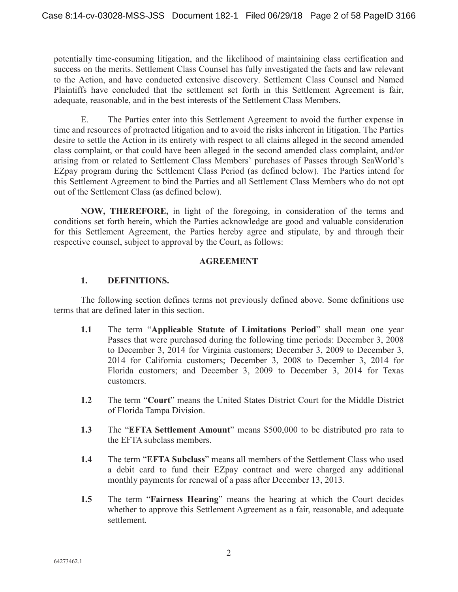potentially time-consuming litigation, and the likelihood of maintaining class certification and success on the merits. Settlement Class Counsel has fully investigated the facts and law relevant to the Action, and have conducted extensive discovery. Settlement Class Counsel and Named Plaintiffs have concluded that the settlement set forth in this Settlement Agreement is fair, adequate, reasonable, and in the best interests of the Settlement Class Members.

E. The Parties enter into this Settlement Agreement to avoid the further expense in time and resources of protracted litigation and to avoid the risks inherent in litigation. The Parties desire to settle the Action in its entirety with respect to all claims alleged in the second amended class complaint, or that could have been alleged in the second amended class complaint, and/or arising from or related to Settlement Class Members' purchases of Passes through SeaWorld's EZpay program during the Settlement Class Period (as defined below). The Parties intend for this Settlement Agreement to bind the Parties and all Settlement Class Members who do not opt out of the Settlement Class (as defined below).

**NOW, THEREFORE,** in light of the foregoing, in consideration of the terms and conditions set forth herein, which the Parties acknowledge are good and valuable consideration for this Settlement Agreement, the Parties hereby agree and stipulate, by and through their respective counsel, subject to approval by the Court, as follows:

#### **AGREEMENT**

## **1. DEFINITIONS.**

The following section defines terms not previously defined above. Some definitions use terms that are defined later in this section.

- **1.1** The term "**Applicable Statute of Limitations Period**" shall mean one year Passes that were purchased during the following time periods: December 3, 2008 to December 3, 2014 for Virginia customers; December 3, 2009 to December 3, 2014 for California customers; December 3, 2008 to December 3, 2014 for Florida customers; and December 3, 2009 to December 3, 2014 for Texas customers.
- **1.2** The term "**Court**" means the United States District Court for the Middle District of Florida Tampa Division.
- **1.3** The "**EFTA Settlement Amount**" means \$500,000 to be distributed pro rata to the EFTA subclass members.
- **1.4** The term "**EFTA Subclass**" means all members of the Settlement Class who used a debit card to fund their EZpay contract and were charged any additional monthly payments for renewal of a pass after December 13, 2013.
- **1.5** The term "**Fairness Hearing**" means the hearing at which the Court decides whether to approve this Settlement Agreement as a fair, reasonable, and adequate settlement.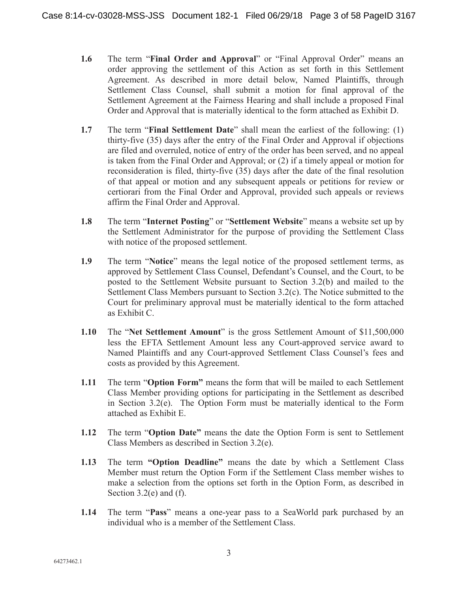- **1.6** The term "**Final Order and Approval**" or "Final Approval Order" means an order approving the settlement of this Action as set forth in this Settlement Agreement. As described in more detail below, Named Plaintiffs, through Settlement Class Counsel, shall submit a motion for final approval of the Settlement Agreement at the Fairness Hearing and shall include a proposed Final Order and Approval that is materially identical to the form attached as Exhibit D.
- **1.7** The term "**Final Settlement Date**" shall mean the earliest of the following: (1) thirty-five (35) days after the entry of the Final Order and Approval if objections are filed and overruled, notice of entry of the order has been served, and no appeal is taken from the Final Order and Approval; or (2) if a timely appeal or motion for reconsideration is filed, thirty-five (35) days after the date of the final resolution of that appeal or motion and any subsequent appeals or petitions for review or certiorari from the Final Order and Approval, provided such appeals or reviews affirm the Final Order and Approval.
- **1.8** The term "**Internet Posting**" or "**Settlement Website**" means a website set up by the Settlement Administrator for the purpose of providing the Settlement Class with notice of the proposed settlement.
- **1.9** The term "**Notice**" means the legal notice of the proposed settlement terms, as approved by Settlement Class Counsel, Defendant's Counsel, and the Court, to be posted to the Settlement Website pursuant to Section 3.2(b) and mailed to the Settlement Class Members pursuant to Section 3.2(c). The Notice submitted to the Court for preliminary approval must be materially identical to the form attached as Exhibit C.
- **1.10** The "**Net Settlement Amount**" is the gross Settlement Amount of \$11,500,000 less the EFTA Settlement Amount less any Court-approved service award to Named Plaintiffs and any Court-approved Settlement Class Counsel's fees and costs as provided by this Agreement.
- **1.11** The term "**Option Form"** means the form that will be mailed to each Settlement Class Member providing options for participating in the Settlement as described in Section 3.2(e). The Option Form must be materially identical to the Form attached as Exhibit E.
- **1.12** The term "**Option Date"** means the date the Option Form is sent to Settlement Class Members as described in Section 3.2(e).
- **1.13** The term **"Option Deadline"** means the date by which a Settlement Class Member must return the Option Form if the Settlement Class member wishes to make a selection from the options set forth in the Option Form, as described in Section 3.2(e) and (f).
- **1.14** The term "**Pass**" means a one-year pass to a SeaWorld park purchased by an individual who is a member of the Settlement Class.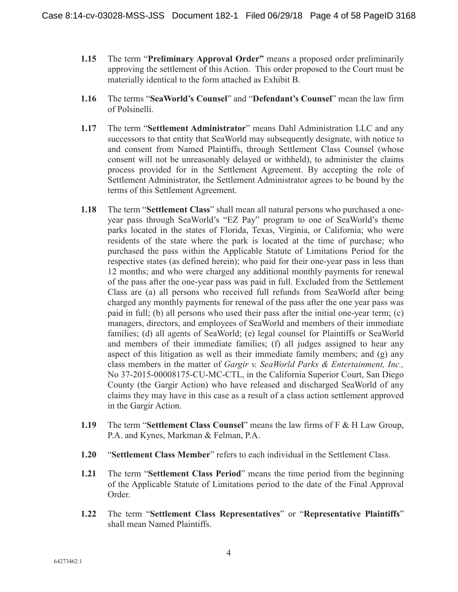- **1.15** The term "**Preliminary Approval Order"** means a proposed order preliminarily approving the settlement of this Action. This order proposed to the Court must be materially identical to the form attached as Exhibit B.
- **1.16** The terms "**SeaWorld's Counsel**" and "**Defendant's Counsel**" mean the law firm of Polsinelli.
- **1.17** The term "**Settlement Administrator**" means Dahl Administration LLC and any successors to that entity that SeaWorld may subsequently designate, with notice to and consent from Named Plaintiffs, through Settlement Class Counsel (whose consent will not be unreasonably delayed or withheld), to administer the claims process provided for in the Settlement Agreement. By accepting the role of Settlement Administrator, the Settlement Administrator agrees to be bound by the terms of this Settlement Agreement.
- **1.18** The term "**Settlement Class**" shall mean all natural persons who purchased a oneyear pass through SeaWorld's "EZ Pay" program to one of SeaWorld's theme parks located in the states of Florida, Texas, Virginia, or California; who were residents of the state where the park is located at the time of purchase; who purchased the pass within the Applicable Statute of Limitations Period for the respective states (as defined herein); who paid for their one-year pass in less than 12 months; and who were charged any additional monthly payments for renewal of the pass after the one-year pass was paid in full. Excluded from the Settlement Class are (a) all persons who received full refunds from SeaWorld after being charged any monthly payments for renewal of the pass after the one year pass was paid in full; (b) all persons who used their pass after the initial one-year term; (c) managers, directors, and employees of SeaWorld and members of their immediate families; (d) all agents of SeaWorld; (e) legal counsel for Plaintiffs or SeaWorld and members of their immediate families; (f) all judges assigned to hear any aspect of this litigation as well as their immediate family members; and (g) any class members in the matter of *Gargir v. SeaWorld Parks & Entertainment, Inc.,* No 37-2015-00008175-CU-MC-CTL, in the California Superior Court, San Diego County (the Gargir Action) who have released and discharged SeaWorld of any claims they may have in this case as a result of a class action settlement approved in the Gargir Action.
- **1.19** The term "**Settlement Class Counsel**" means the law firms of F & H Law Group, P.A. and Kynes, Markman & Felman, P.A.
- **1.20** "**Settlement Class Member**" refers to each individual in the Settlement Class.
- **1.21** The term "**Settlement Class Period**" means the time period from the beginning of the Applicable Statute of Limitations period to the date of the Final Approval Order.
- **1.22** The term "**Settlement Class Representatives**" or "**Representative Plaintiffs**" shall mean Named Plaintiffs.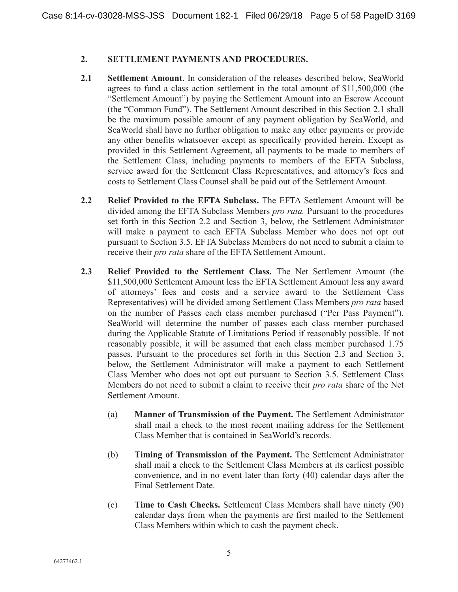#### **2. SETTLEMENT PAYMENTS AND PROCEDURES.**

- **2.1 Settlement Amount**. In consideration of the releases described below, SeaWorld agrees to fund a class action settlement in the total amount of \$11,500,000 (the "Settlement Amount") by paying the Settlement Amount into an Escrow Account (the "Common Fund"). The Settlement Amount described in this Section 2.1 shall be the maximum possible amount of any payment obligation by SeaWorld, and SeaWorld shall have no further obligation to make any other payments or provide any other benefits whatsoever except as specifically provided herein. Except as provided in this Settlement Agreement, all payments to be made to members of the Settlement Class, including payments to members of the EFTA Subclass, service award for the Settlement Class Representatives, and attorney's fees and costs to Settlement Class Counsel shall be paid out of the Settlement Amount.
- **2.2 Relief Provided to the EFTA Subclass.** The EFTA Settlement Amount will be divided among the EFTA Subclass Members *pro rata.* Pursuant to the procedures set forth in this Section 2.2 and Section 3, below, the Settlement Administrator will make a payment to each EFTA Subclass Member who does not opt out pursuant to Section 3.5. EFTA Subclass Members do not need to submit a claim to receive their *pro rata* share of the EFTA Settlement Amount.
- **2.3 Relief Provided to the Settlement Class.** The Net Settlement Amount (the \$11,500,000 Settlement Amount less the EFTA Settlement Amount less any award of attorneys' fees and costs and a service award to the Settlement Cass Representatives) will be divided among Settlement Class Members *pro rata* based on the number of Passes each class member purchased ("Per Pass Payment"). SeaWorld will determine the number of passes each class member purchased during the Applicable Statute of Limitations Period if reasonably possible. If not reasonably possible, it will be assumed that each class member purchased 1.75 passes. Pursuant to the procedures set forth in this Section 2.3 and Section 3, below, the Settlement Administrator will make a payment to each Settlement Class Member who does not opt out pursuant to Section 3.5. Settlement Class Members do not need to submit a claim to receive their *pro rata* share of the Net Settlement Amount.
	- (a) **Manner of Transmission of the Payment.** The Settlement Administrator shall mail a check to the most recent mailing address for the Settlement Class Member that is contained in SeaWorld's records.
	- (b) **Timing of Transmission of the Payment.** The Settlement Administrator shall mail a check to the Settlement Class Members at its earliest possible convenience, and in no event later than forty (40) calendar days after the Final Settlement Date.
	- (c) **Time to Cash Checks.** Settlement Class Members shall have ninety (90) calendar days from when the payments are first mailed to the Settlement Class Members within which to cash the payment check.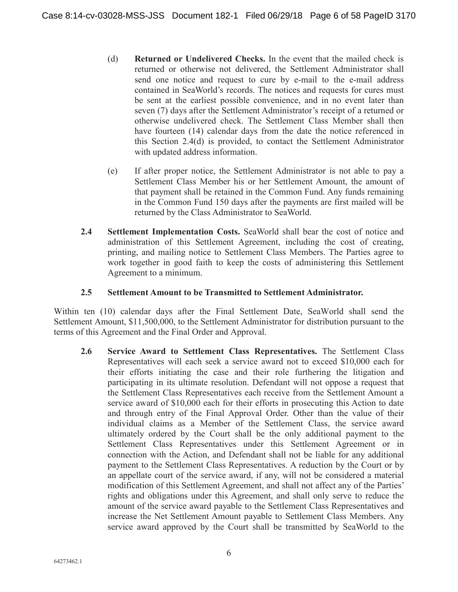- (d) **Returned or Undelivered Checks.** In the event that the mailed check is returned or otherwise not delivered, the Settlement Administrator shall send one notice and request to cure by e-mail to the e-mail address contained in SeaWorld's records. The notices and requests for cures must be sent at the earliest possible convenience, and in no event later than seven (7) days after the Settlement Administrator's receipt of a returned or otherwise undelivered check. The Settlement Class Member shall then have fourteen (14) calendar days from the date the notice referenced in this Section 2.4(d) is provided, to contact the Settlement Administrator with updated address information.
- (e) If after proper notice, the Settlement Administrator is not able to pay a Settlement Class Member his or her Settlement Amount, the amount of that payment shall be retained in the Common Fund. Any funds remaining in the Common Fund 150 days after the payments are first mailed will be returned by the Class Administrator to SeaWorld.
- **2.4 Settlement Implementation Costs.** SeaWorld shall bear the cost of notice and administration of this Settlement Agreement, including the cost of creating, printing, and mailing notice to Settlement Class Members. The Parties agree to work together in good faith to keep the costs of administering this Settlement Agreement to a minimum.

#### **2.5 Settlement Amount to be Transmitted to Settlement Administrator.**

Within ten (10) calendar days after the Final Settlement Date, SeaWorld shall send the Settlement Amount, \$11,500,000, to the Settlement Administrator for distribution pursuant to the terms of this Agreement and the Final Order and Approval.

**2.6 Service Award to Settlement Class Representatives.** The Settlement Class Representatives will each seek a service award not to exceed \$10,000 each for their efforts initiating the case and their role furthering the litigation and participating in its ultimate resolution. Defendant will not oppose a request that the Settlement Class Representatives each receive from the Settlement Amount a service award of \$10,000 each for their efforts in prosecuting this Action to date and through entry of the Final Approval Order. Other than the value of their individual claims as a Member of the Settlement Class, the service award ultimately ordered by the Court shall be the only additional payment to the Settlement Class Representatives under this Settlement Agreement or in connection with the Action, and Defendant shall not be liable for any additional payment to the Settlement Class Representatives. A reduction by the Court or by an appellate court of the service award, if any, will not be considered a material modification of this Settlement Agreement, and shall not affect any of the Parties' rights and obligations under this Agreement, and shall only serve to reduce the amount of the service award payable to the Settlement Class Representatives and increase the Net Settlement Amount payable to Settlement Class Members. Any service award approved by the Court shall be transmitted by SeaWorld to the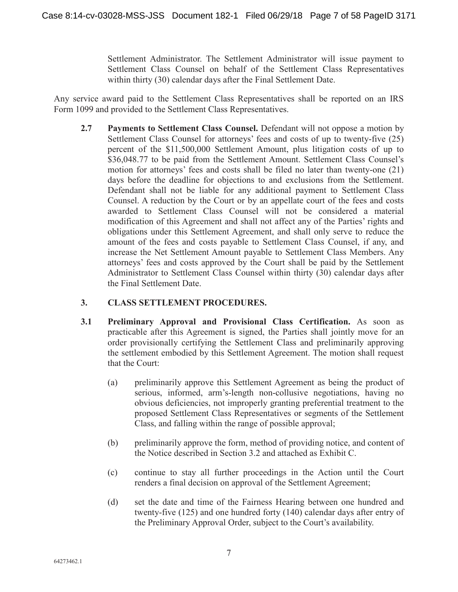Settlement Administrator. The Settlement Administrator will issue payment to Settlement Class Counsel on behalf of the Settlement Class Representatives within thirty (30) calendar days after the Final Settlement Date.

Any service award paid to the Settlement Class Representatives shall be reported on an IRS Form 1099 and provided to the Settlement Class Representatives.

**2.7 Payments to Settlement Class Counsel.** Defendant will not oppose a motion by Settlement Class Counsel for attorneys' fees and costs of up to twenty-five (25) percent of the \$11,500,000 Settlement Amount, plus litigation costs of up to \$36,048.77 to be paid from the Settlement Amount. Settlement Class Counsel's motion for attorneys' fees and costs shall be filed no later than twenty-one (21) days before the deadline for objections to and exclusions from the Settlement. Defendant shall not be liable for any additional payment to Settlement Class Counsel. A reduction by the Court or by an appellate court of the fees and costs awarded to Settlement Class Counsel will not be considered a material modification of this Agreement and shall not affect any of the Parties' rights and obligations under this Settlement Agreement, and shall only serve to reduce the amount of the fees and costs payable to Settlement Class Counsel, if any, and increase the Net Settlement Amount payable to Settlement Class Members. Any attorneys' fees and costs approved by the Court shall be paid by the Settlement Administrator to Settlement Class Counsel within thirty (30) calendar days after the Final Settlement Date.

## **3. CLASS SETTLEMENT PROCEDURES.**

- **3.1 Preliminary Approval and Provisional Class Certification.** As soon as practicable after this Agreement is signed, the Parties shall jointly move for an order provisionally certifying the Settlement Class and preliminarily approving the settlement embodied by this Settlement Agreement. The motion shall request that the Court:
	- (a) preliminarily approve this Settlement Agreement as being the product of serious, informed, arm's-length non-collusive negotiations, having no obvious deficiencies, not improperly granting preferential treatment to the proposed Settlement Class Representatives or segments of the Settlement Class, and falling within the range of possible approval;
	- (b) preliminarily approve the form, method of providing notice, and content of the Notice described in Section 3.2 and attached as Exhibit C.
	- (c) continue to stay all further proceedings in the Action until the Court renders a final decision on approval of the Settlement Agreement;
	- (d) set the date and time of the Fairness Hearing between one hundred and twenty-five (125) and one hundred forty (140) calendar days after entry of the Preliminary Approval Order, subject to the Court's availability.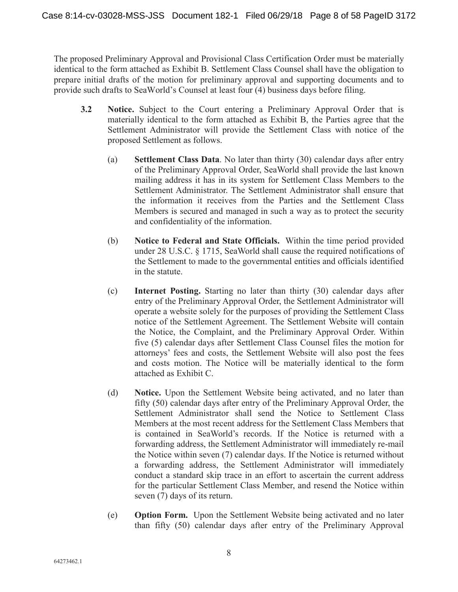The proposed Preliminary Approval and Provisional Class Certification Order must be materially identical to the form attached as Exhibit B. Settlement Class Counsel shall have the obligation to prepare initial drafts of the motion for preliminary approval and supporting documents and to provide such drafts to SeaWorld's Counsel at least four (4) business days before filing.

- **3.2 Notice.** Subject to the Court entering a Preliminary Approval Order that is materially identical to the form attached as Exhibit B, the Parties agree that the Settlement Administrator will provide the Settlement Class with notice of the proposed Settlement as follows.
	- (a) **Settlement Class Data**. No later than thirty (30) calendar days after entry of the Preliminary Approval Order, SeaWorld shall provide the last known mailing address it has in its system for Settlement Class Members to the Settlement Administrator. The Settlement Administrator shall ensure that the information it receives from the Parties and the Settlement Class Members is secured and managed in such a way as to protect the security and confidentiality of the information.
	- (b) **Notice to Federal and State Officials.** Within the time period provided under 28 U.S.C. § 1715, SeaWorld shall cause the required notifications of the Settlement to made to the governmental entities and officials identified in the statute.
	- (c) **Internet Posting.** Starting no later than thirty (30) calendar days after entry of the Preliminary Approval Order, the Settlement Administrator will operate a website solely for the purposes of providing the Settlement Class notice of the Settlement Agreement. The Settlement Website will contain the Notice, the Complaint, and the Preliminary Approval Order. Within five (5) calendar days after Settlement Class Counsel files the motion for attorneys' fees and costs, the Settlement Website will also post the fees and costs motion. The Notice will be materially identical to the form attached as Exhibit C.
	- (d) **Notice.** Upon the Settlement Website being activated, and no later than fifty (50) calendar days after entry of the Preliminary Approval Order, the Settlement Administrator shall send the Notice to Settlement Class Members at the most recent address for the Settlement Class Members that is contained in SeaWorld's records. If the Notice is returned with a forwarding address, the Settlement Administrator will immediately re-mail the Notice within seven (7) calendar days. If the Notice is returned without a forwarding address, the Settlement Administrator will immediately conduct a standard skip trace in an effort to ascertain the current address for the particular Settlement Class Member, and resend the Notice within seven (7) days of its return.
	- (e) **Option Form.** Upon the Settlement Website being activated and no later than fifty (50) calendar days after entry of the Preliminary Approval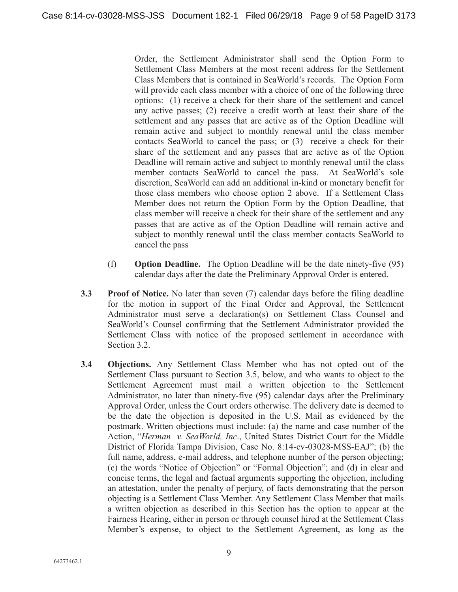Order, the Settlement Administrator shall send the Option Form to Settlement Class Members at the most recent address for the Settlement Class Members that is contained in SeaWorld's records. The Option Form will provide each class member with a choice of one of the following three options: (1) receive a check for their share of the settlement and cancel any active passes; (2) receive a credit worth at least their share of the settlement and any passes that are active as of the Option Deadline will remain active and subject to monthly renewal until the class member contacts SeaWorld to cancel the pass; or (3) receive a check for their share of the settlement and any passes that are active as of the Option Deadline will remain active and subject to monthly renewal until the class member contacts SeaWorld to cancel the pass. At SeaWorld's sole discretion, SeaWorld can add an additional in-kind or monetary benefit for those class members who choose option 2 above. If a Settlement Class Member does not return the Option Form by the Option Deadline, that class member will receive a check for their share of the settlement and any passes that are active as of the Option Deadline will remain active and subject to monthly renewal until the class member contacts SeaWorld to cancel the pass

- (f) **Option Deadline.** The Option Deadline will be the date ninety-five (95) calendar days after the date the Preliminary Approval Order is entered.
- **3.3** Proof of Notice. No later than seven (7) calendar days before the filing deadline for the motion in support of the Final Order and Approval, the Settlement Administrator must serve a declaration(s) on Settlement Class Counsel and SeaWorld's Counsel confirming that the Settlement Administrator provided the Settlement Class with notice of the proposed settlement in accordance with Section 3.2.
- **3.4 Objections.** Any Settlement Class Member who has not opted out of the Settlement Class pursuant to Section 3.5, below, and who wants to object to the Settlement Agreement must mail a written objection to the Settlement Administrator, no later than ninety-five (95) calendar days after the Preliminary Approval Order, unless the Court orders otherwise. The delivery date is deemed to be the date the objection is deposited in the U.S. Mail as evidenced by the postmark. Written objections must include: (a) the name and case number of the Action, "*Herman v. SeaWorld, Inc*., United States District Court for the Middle District of Florida Tampa Division, Case No. 8:14-cv-03028-MSS-EAJ"; (b) the full name, address, e-mail address, and telephone number of the person objecting; (c) the words "Notice of Objection" or "Formal Objection"; and (d) in clear and concise terms, the legal and factual arguments supporting the objection, including an attestation, under the penalty of perjury, of facts demonstrating that the person objecting is a Settlement Class Member. Any Settlement Class Member that mails a written objection as described in this Section has the option to appear at the Fairness Hearing, either in person or through counsel hired at the Settlement Class Member's expense, to object to the Settlement Agreement, as long as the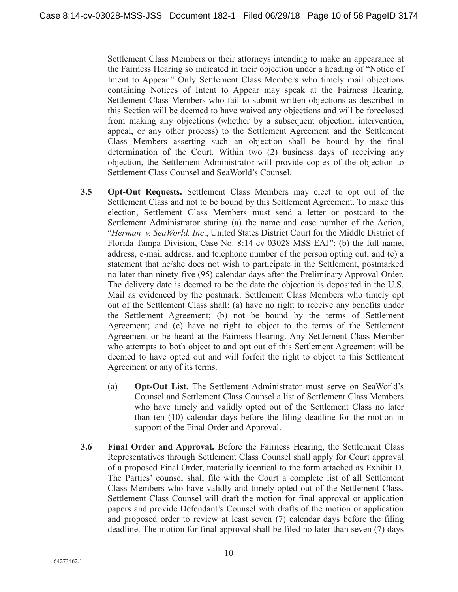Settlement Class Members or their attorneys intending to make an appearance at the Fairness Hearing so indicated in their objection under a heading of "Notice of Intent to Appear." Only Settlement Class Members who timely mail objections containing Notices of Intent to Appear may speak at the Fairness Hearing. Settlement Class Members who fail to submit written objections as described in this Section will be deemed to have waived any objections and will be foreclosed from making any objections (whether by a subsequent objection, intervention, appeal, or any other process) to the Settlement Agreement and the Settlement Class Members asserting such an objection shall be bound by the final determination of the Court. Within two (2) business days of receiving any objection, the Settlement Administrator will provide copies of the objection to Settlement Class Counsel and SeaWorld's Counsel.

- **3.5 Opt-Out Requests.** Settlement Class Members may elect to opt out of the Settlement Class and not to be bound by this Settlement Agreement. To make this election, Settlement Class Members must send a letter or postcard to the Settlement Administrator stating (a) the name and case number of the Action, "*Herman v. SeaWorld, Inc*., United States District Court for the Middle District of Florida Tampa Division, Case No. 8:14-cv-03028-MSS-EAJ"; (b) the full name, address, e-mail address, and telephone number of the person opting out; and (c) a statement that he/she does not wish to participate in the Settlement, postmarked no later than ninety-five (95) calendar days after the Preliminary Approval Order. The delivery date is deemed to be the date the objection is deposited in the U.S. Mail as evidenced by the postmark. Settlement Class Members who timely opt out of the Settlement Class shall: (a) have no right to receive any benefits under the Settlement Agreement; (b) not be bound by the terms of Settlement Agreement; and (c) have no right to object to the terms of the Settlement Agreement or be heard at the Fairness Hearing. Any Settlement Class Member who attempts to both object to and opt out of this Settlement Agreement will be deemed to have opted out and will forfeit the right to object to this Settlement Agreement or any of its terms.
	- (a) **Opt-Out List.** The Settlement Administrator must serve on SeaWorld's Counsel and Settlement Class Counsel a list of Settlement Class Members who have timely and validly opted out of the Settlement Class no later than ten (10) calendar days before the filing deadline for the motion in support of the Final Order and Approval.
- **3.6 Final Order and Approval.** Before the Fairness Hearing, the Settlement Class Representatives through Settlement Class Counsel shall apply for Court approval of a proposed Final Order, materially identical to the form attached as Exhibit D. The Parties' counsel shall file with the Court a complete list of all Settlement Class Members who have validly and timely opted out of the Settlement Class. Settlement Class Counsel will draft the motion for final approval or application papers and provide Defendant's Counsel with drafts of the motion or application and proposed order to review at least seven (7) calendar days before the filing deadline. The motion for final approval shall be filed no later than seven (7) days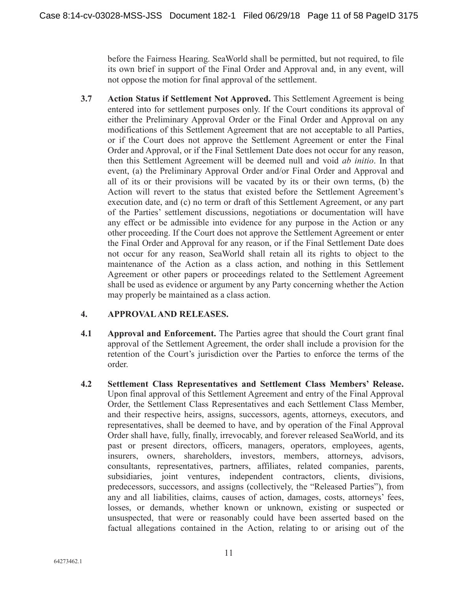before the Fairness Hearing. SeaWorld shall be permitted, but not required, to file its own brief in support of the Final Order and Approval and, in any event, will not oppose the motion for final approval of the settlement.

**3.7 Action Status if Settlement Not Approved.** This Settlement Agreement is being entered into for settlement purposes only. If the Court conditions its approval of either the Preliminary Approval Order or the Final Order and Approval on any modifications of this Settlement Agreement that are not acceptable to all Parties, or if the Court does not approve the Settlement Agreement or enter the Final Order and Approval, or if the Final Settlement Date does not occur for any reason, then this Settlement Agreement will be deemed null and void *ab initio*. In that event, (a) the Preliminary Approval Order and/or Final Order and Approval and all of its or their provisions will be vacated by its or their own terms, (b) the Action will revert to the status that existed before the Settlement Agreement's execution date, and (c) no term or draft of this Settlement Agreement, or any part of the Parties' settlement discussions, negotiations or documentation will have any effect or be admissible into evidence for any purpose in the Action or any other proceeding. If the Court does not approve the Settlement Agreement or enter the Final Order and Approval for any reason, or if the Final Settlement Date does not occur for any reason, SeaWorld shall retain all its rights to object to the maintenance of the Action as a class action, and nothing in this Settlement Agreement or other papers or proceedings related to the Settlement Agreement shall be used as evidence or argument by any Party concerning whether the Action may properly be maintained as a class action.

## **4. APPROVAL AND RELEASES.**

- **4.1 Approval and Enforcement.** The Parties agree that should the Court grant final approval of the Settlement Agreement, the order shall include a provision for the retention of the Court's jurisdiction over the Parties to enforce the terms of the order.
- **4.2 Settlement Class Representatives and Settlement Class Members' Release.** Upon final approval of this Settlement Agreement and entry of the Final Approval Order, the Settlement Class Representatives and each Settlement Class Member, and their respective heirs, assigns, successors, agents, attorneys, executors, and representatives, shall be deemed to have, and by operation of the Final Approval Order shall have, fully, finally, irrevocably, and forever released SeaWorld, and its past or present directors, officers, managers, operators, employees, agents, insurers, owners, shareholders, investors, members, attorneys, advisors, consultants, representatives, partners, affiliates, related companies, parents, subsidiaries, joint ventures, independent contractors, clients, divisions, predecessors, successors, and assigns (collectively, the "Released Parties"), from any and all liabilities, claims, causes of action, damages, costs, attorneys' fees, losses, or demands, whether known or unknown, existing or suspected or unsuspected, that were or reasonably could have been asserted based on the factual allegations contained in the Action, relating to or arising out of the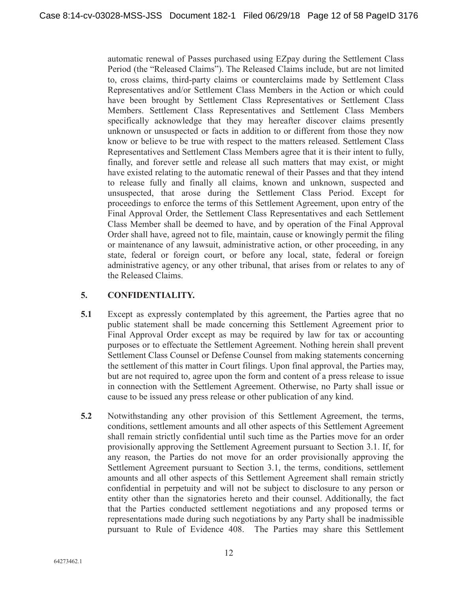automatic renewal of Passes purchased using EZpay during the Settlement Class Period (the "Released Claims"). The Released Claims include, but are not limited to, cross claims, third-party claims or counterclaims made by Settlement Class Representatives and/or Settlement Class Members in the Action or which could have been brought by Settlement Class Representatives or Settlement Class Members. Settlement Class Representatives and Settlement Class Members specifically acknowledge that they may hereafter discover claims presently unknown or unsuspected or facts in addition to or different from those they now know or believe to be true with respect to the matters released. Settlement Class Representatives and Settlement Class Members agree that it is their intent to fully, finally, and forever settle and release all such matters that may exist, or might have existed relating to the automatic renewal of their Passes and that they intend to release fully and finally all claims, known and unknown, suspected and unsuspected, that arose during the Settlement Class Period. Except for proceedings to enforce the terms of this Settlement Agreement, upon entry of the Final Approval Order, the Settlement Class Representatives and each Settlement Class Member shall be deemed to have, and by operation of the Final Approval Order shall have, agreed not to file, maintain, cause or knowingly permit the filing or maintenance of any lawsuit, administrative action, or other proceeding, in any state, federal or foreign court, or before any local, state, federal or foreign administrative agency, or any other tribunal, that arises from or relates to any of the Released Claims.

# **5. CONFIDENTIALITY.**

- **5.1** Except as expressly contemplated by this agreement, the Parties agree that no public statement shall be made concerning this Settlement Agreement prior to Final Approval Order except as may be required by law for tax or accounting purposes or to effectuate the Settlement Agreement. Nothing herein shall prevent Settlement Class Counsel or Defense Counsel from making statements concerning the settlement of this matter in Court filings. Upon final approval, the Parties may, but are not required to, agree upon the form and content of a press release to issue in connection with the Settlement Agreement. Otherwise, no Party shall issue or cause to be issued any press release or other publication of any kind.
- **5.2** Notwithstanding any other provision of this Settlement Agreement, the terms, conditions, settlement amounts and all other aspects of this Settlement Agreement shall remain strictly confidential until such time as the Parties move for an order provisionally approving the Settlement Agreement pursuant to Section 3.1. If, for any reason, the Parties do not move for an order provisionally approving the Settlement Agreement pursuant to Section 3.1, the terms, conditions, settlement amounts and all other aspects of this Settlement Agreement shall remain strictly confidential in perpetuity and will not be subject to disclosure to any person or entity other than the signatories hereto and their counsel. Additionally, the fact that the Parties conducted settlement negotiations and any proposed terms or representations made during such negotiations by any Party shall be inadmissible pursuant to Rule of Evidence 408. The Parties may share this Settlement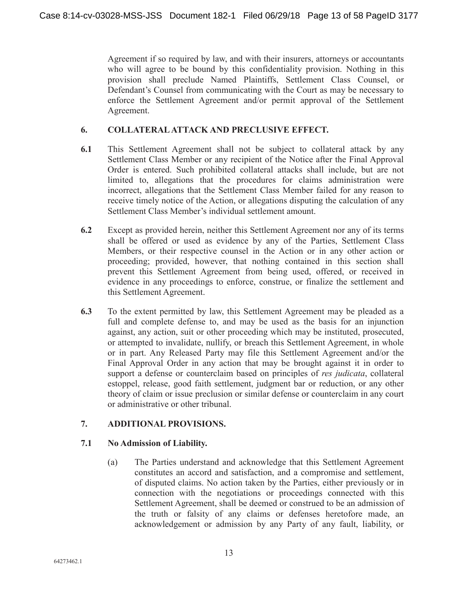Agreement if so required by law, and with their insurers, attorneys or accountants who will agree to be bound by this confidentiality provision. Nothing in this provision shall preclude Named Plaintiffs, Settlement Class Counsel, or Defendant's Counsel from communicating with the Court as may be necessary to enforce the Settlement Agreement and/or permit approval of the Settlement Agreement.

## **6. COLLATERAL ATTACK AND PRECLUSIVE EFFECT.**

- **6.1** This Settlement Agreement shall not be subject to collateral attack by any Settlement Class Member or any recipient of the Notice after the Final Approval Order is entered. Such prohibited collateral attacks shall include, but are not limited to, allegations that the procedures for claims administration were incorrect, allegations that the Settlement Class Member failed for any reason to receive timely notice of the Action, or allegations disputing the calculation of any Settlement Class Member's individual settlement amount.
- **6.2** Except as provided herein, neither this Settlement Agreement nor any of its terms shall be offered or used as evidence by any of the Parties, Settlement Class Members, or their respective counsel in the Action or in any other action or proceeding; provided, however, that nothing contained in this section shall prevent this Settlement Agreement from being used, offered, or received in evidence in any proceedings to enforce, construe, or finalize the settlement and this Settlement Agreement.
- **6.3** To the extent permitted by law, this Settlement Agreement may be pleaded as a full and complete defense to, and may be used as the basis for an injunction against, any action, suit or other proceeding which may be instituted, prosecuted, or attempted to invalidate, nullify, or breach this Settlement Agreement, in whole or in part. Any Released Party may file this Settlement Agreement and/or the Final Approval Order in any action that may be brought against it in order to support a defense or counterclaim based on principles of *res judicata*, collateral estoppel, release, good faith settlement, judgment bar or reduction, or any other theory of claim or issue preclusion or similar defense or counterclaim in any court or administrative or other tribunal.

## **7. ADDITIONAL PROVISIONS.**

## **7.1 No Admission of Liability.**

(a) The Parties understand and acknowledge that this Settlement Agreement constitutes an accord and satisfaction, and a compromise and settlement, of disputed claims. No action taken by the Parties, either previously or in connection with the negotiations or proceedings connected with this Settlement Agreement, shall be deemed or construed to be an admission of the truth or falsity of any claims or defenses heretofore made, an acknowledgement or admission by any Party of any fault, liability, or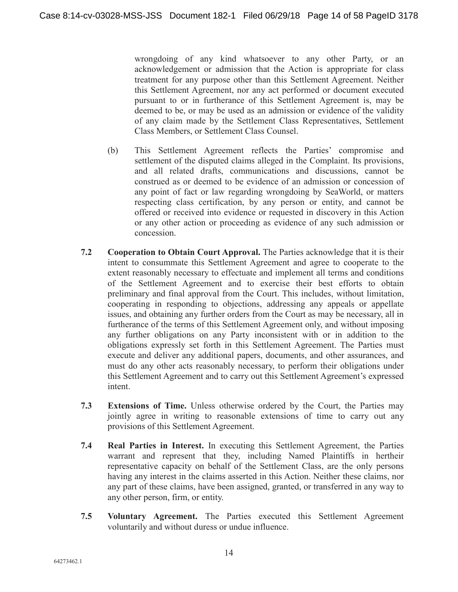wrongdoing of any kind whatsoever to any other Party, or an acknowledgement or admission that the Action is appropriate for class treatment for any purpose other than this Settlement Agreement. Neither this Settlement Agreement, nor any act performed or document executed pursuant to or in furtherance of this Settlement Agreement is, may be deemed to be, or may be used as an admission or evidence of the validity of any claim made by the Settlement Class Representatives, Settlement Class Members, or Settlement Class Counsel.

- (b) This Settlement Agreement reflects the Parties' compromise and settlement of the disputed claims alleged in the Complaint. Its provisions, and all related drafts, communications and discussions, cannot be construed as or deemed to be evidence of an admission or concession of any point of fact or law regarding wrongdoing by SeaWorld, or matters respecting class certification, by any person or entity, and cannot be offered or received into evidence or requested in discovery in this Action or any other action or proceeding as evidence of any such admission or concession.
- **7.2 Cooperation to Obtain Court Approval.** The Parties acknowledge that it is their intent to consummate this Settlement Agreement and agree to cooperate to the extent reasonably necessary to effectuate and implement all terms and conditions of the Settlement Agreement and to exercise their best efforts to obtain preliminary and final approval from the Court. This includes, without limitation, cooperating in responding to objections, addressing any appeals or appellate issues, and obtaining any further orders from the Court as may be necessary, all in furtherance of the terms of this Settlement Agreement only, and without imposing any further obligations on any Party inconsistent with or in addition to the obligations expressly set forth in this Settlement Agreement. The Parties must execute and deliver any additional papers, documents, and other assurances, and must do any other acts reasonably necessary, to perform their obligations under this Settlement Agreement and to carry out this Settlement Agreement's expressed intent.
- **7.3 Extensions of Time.** Unless otherwise ordered by the Court, the Parties may jointly agree in writing to reasonable extensions of time to carry out any provisions of this Settlement Agreement.
- **7.4 Real Parties in Interest.** In executing this Settlement Agreement, the Parties warrant and represent that they, including Named Plaintiffs in hertheir representative capacity on behalf of the Settlement Class, are the only persons having any interest in the claims asserted in this Action. Neither these claims, nor any part of these claims, have been assigned, granted, or transferred in any way to any other person, firm, or entity.
- **7.5 Voluntary Agreement.** The Parties executed this Settlement Agreement voluntarily and without duress or undue influence.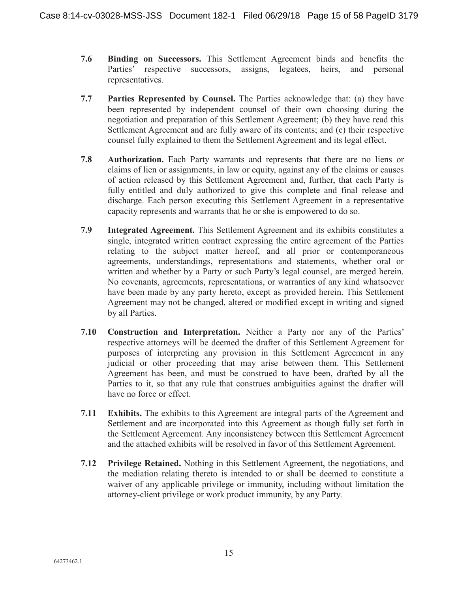- **7.6 Binding on Successors.** This Settlement Agreement binds and benefits the Parties' respective successors, assigns, legatees, heirs, and personal representatives.
- **7.7 Parties Represented by Counsel.** The Parties acknowledge that: (a) they have been represented by independent counsel of their own choosing during the negotiation and preparation of this Settlement Agreement; (b) they have read this Settlement Agreement and are fully aware of its contents; and (c) their respective counsel fully explained to them the Settlement Agreement and its legal effect.
- **7.8 Authorization.** Each Party warrants and represents that there are no liens or claims of lien or assignments, in law or equity, against any of the claims or causes of action released by this Settlement Agreement and, further, that each Party is fully entitled and duly authorized to give this complete and final release and discharge. Each person executing this Settlement Agreement in a representative capacity represents and warrants that he or she is empowered to do so.
- **7.9 Integrated Agreement.** This Settlement Agreement and its exhibits constitutes a single, integrated written contract expressing the entire agreement of the Parties relating to the subject matter hereof, and all prior or contemporaneous agreements, understandings, representations and statements, whether oral or written and whether by a Party or such Party's legal counsel, are merged herein. No covenants, agreements, representations, or warranties of any kind whatsoever have been made by any party hereto, except as provided herein. This Settlement Agreement may not be changed, altered or modified except in writing and signed by all Parties.
- **7.10 Construction and Interpretation.** Neither a Party nor any of the Parties' respective attorneys will be deemed the drafter of this Settlement Agreement for purposes of interpreting any provision in this Settlement Agreement in any judicial or other proceeding that may arise between them. This Settlement Agreement has been, and must be construed to have been, drafted by all the Parties to it, so that any rule that construes ambiguities against the drafter will have no force or effect.
- **7.11 Exhibits.** The exhibits to this Agreement are integral parts of the Agreement and Settlement and are incorporated into this Agreement as though fully set forth in the Settlement Agreement. Any inconsistency between this Settlement Agreement and the attached exhibits will be resolved in favor of this Settlement Agreement.
- **7.12 Privilege Retained.** Nothing in this Settlement Agreement, the negotiations, and the mediation relating thereto is intended to or shall be deemed to constitute a waiver of any applicable privilege or immunity, including without limitation the attorney-client privilege or work product immunity, by any Party.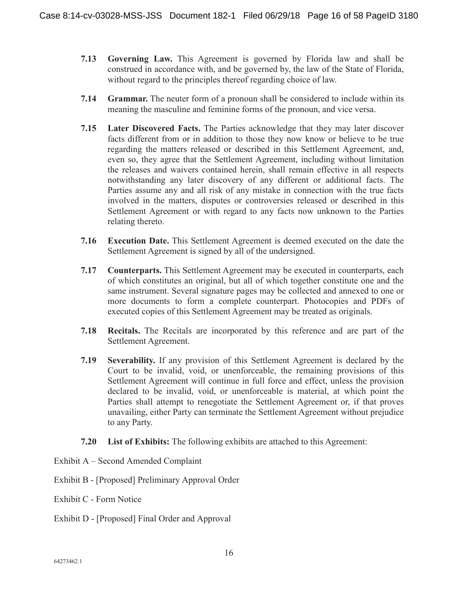- **7.13 Governing Law.** This Agreement is governed by Florida law and shall be construed in accordance with, and be governed by, the law of the State of Florida, without regard to the principles thereof regarding choice of law.
- **7.14 Grammar.** The neuter form of a pronoun shall be considered to include within its meaning the masculine and feminine forms of the pronoun, and vice versa.
- **7.15 Later Discovered Facts.** The Parties acknowledge that they may later discover facts different from or in addition to those they now know or believe to be true regarding the matters released or described in this Settlement Agreement, and, even so, they agree that the Settlement Agreement, including without limitation the releases and waivers contained herein, shall remain effective in all respects notwithstanding any later discovery of any different or additional facts. The Parties assume any and all risk of any mistake in connection with the true facts involved in the matters, disputes or controversies released or described in this Settlement Agreement or with regard to any facts now unknown to the Parties relating thereto.
- **7.16 Execution Date.** This Settlement Agreement is deemed executed on the date the Settlement Agreement is signed by all of the undersigned.
- **7.17 Counterparts.** This Settlement Agreement may be executed in counterparts, each of which constitutes an original, but all of which together constitute one and the same instrument. Several signature pages may be collected and annexed to one or more documents to form a complete counterpart. Photocopies and PDFs of executed copies of this Settlement Agreement may be treated as originals.
- **7.18 Recitals.** The Recitals are incorporated by this reference and are part of the Settlement Agreement.
- **7.19 Severability.** If any provision of this Settlement Agreement is declared by the Court to be invalid, void, or unenforceable, the remaining provisions of this Settlement Agreement will continue in full force and effect, unless the provision declared to be invalid, void, or unenforceable is material, at which point the Parties shall attempt to renegotiate the Settlement Agreement or, if that proves unavailing, either Party can terminate the Settlement Agreement without prejudice to any Party.
- **7.20 List of Exhibits:** The following exhibits are attached to this Agreement:
- Exhibit A Second Amended Complaint
- Exhibit B [Proposed] Preliminary Approval Order
- Exhibit C Form Notice
- Exhibit D [Proposed] Final Order and Approval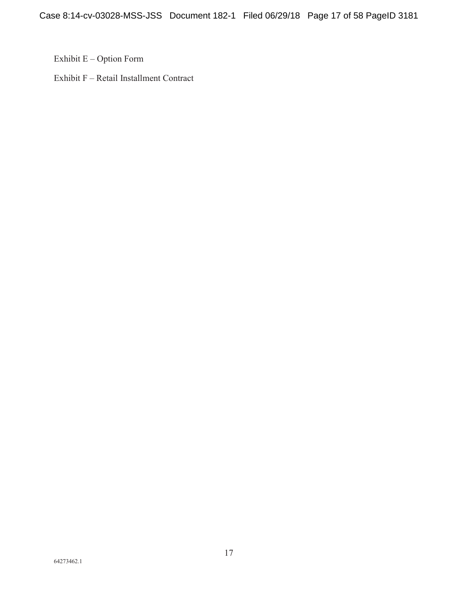Exhibit E – Option Form

Exhibit F – Retail Installment Contract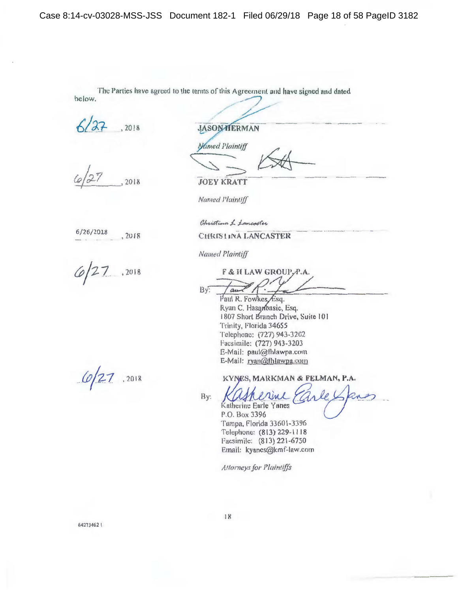The Parties have agreed to the terms of this Agreement and have signed and dated below.

2018

2018

 $6/26/2018$  $, 2018$ 

 $6/27$ ,2018

 $6/27$  .2018

**JASON HERMAN** 

**Named Plaintiff** 

**JOEY KRATT** 

Named Plaintiff

Christina 1 Lancaster

CHRISTINA LANCASTER

**Named Plaintiff** 

F & H LAW GROUP, P.A.  $Bv$ 

Paul R. Fowkes Esq. Ryan C. Hasanbasic, Esq. 1807 Short Branch Drive, Suite 101 Trinity, Florida 34655 Telephone: (727) 943-3202 Facsimile: (727) 943-3203 E-Mail: paul@fhlawpa.com E-Mail: ryan@fhlawpa.com

KYNES, MARKMAN & FELMAN, P.A.

By:

Katherine Earle Yanes

P.O. Box 3396 Tampa, Florida 33601-3396 Telephone: (813) 229-1118 Facsimile: (813) 221-6750 Email: kyanes@kmf-law.com

**Attorneys for Plaintiffs**